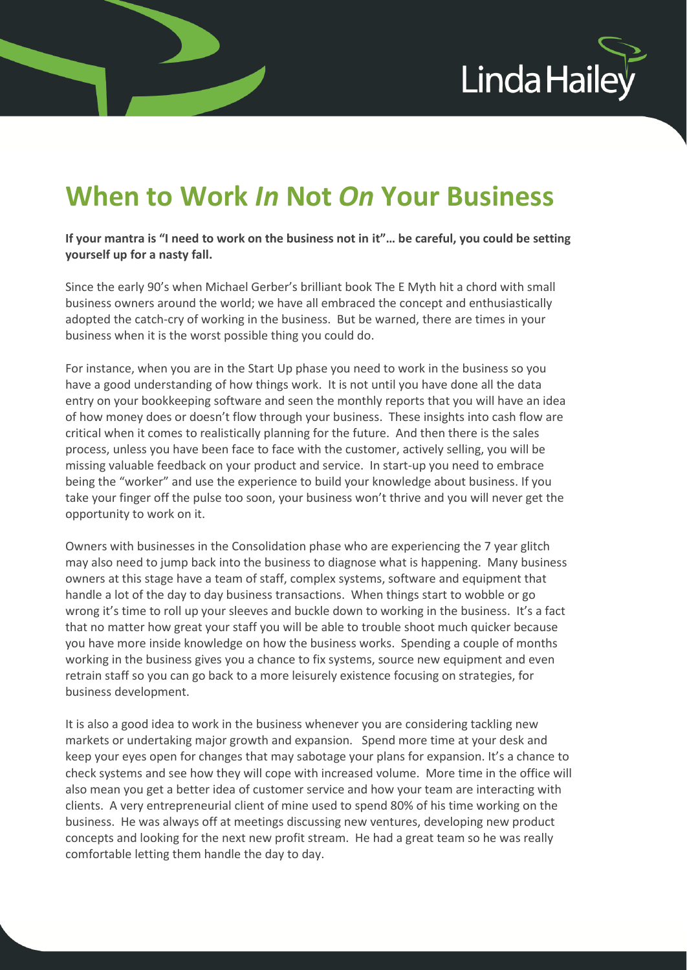

## **When to Work** *In* **Not** *On* **Your Business**

**If your mantra is "I need to work on the business not in it"… be careful, you could be setting yourself up for a nasty fall.** 

Since the early 90's when Michael Gerber's brilliant book The E Myth hit a chord with small business owners around the world; we have all embraced the concept and enthusiastically adopted the catch-cry of working in the business. But be warned, there are times in your business when it is the worst possible thing you could do.

For instance, when you are in the Start Up phase you need to work in the business so you have a good understanding of how things work. It is not until you have done all the data entry on your bookkeeping software and seen the monthly reports that you will have an idea of how money does or doesn't flow through your business. These insights into cash flow are critical when it comes to realistically planning for the future. And then there is the sales process, unless you have been face to face with the customer, actively selling, you will be missing valuable feedback on your product and service. In start-up you need to embrace being the "worker" and use the experience to build your knowledge about business. If you take your finger off the pulse too soon, your business won't thrive and you will never get the opportunity to work on it.

Owners with businesses in the Consolidation phase who are experiencing the 7 year glitch may also need to jump back into the business to diagnose what is happening. Many business owners at this stage have a team of staff, complex systems, software and equipment that handle a lot of the day to day business transactions. When things start to wobble or go wrong it's time to roll up your sleeves and buckle down to working in the business. It's a fact that no matter how great your staff you will be able to trouble shoot much quicker because you have more inside knowledge on how the business works. Spending a couple of months working in the business gives you a chance to fix systems, source new equipment and even retrain staff so you can go back to a more leisurely existence focusing on strategies, for business development.

It is also a good idea to work in the business whenever you are considering tackling new markets or undertaking major growth and expansion. Spend more time at your desk and keep your eyes open for changes that may sabotage your plans for expansion. It's a chance to check systems and see how they will cope with increased volume. More time in the office will also mean you get a better idea of customer service and how your team are interacting with clients. A very entrepreneurial client of mine used to spend 80% of his time working on the business. He was always off at meetings discussing new ventures, developing new product concepts and looking for the next new profit stream. He had a great team so he was really comfortable letting them handle the day to day.